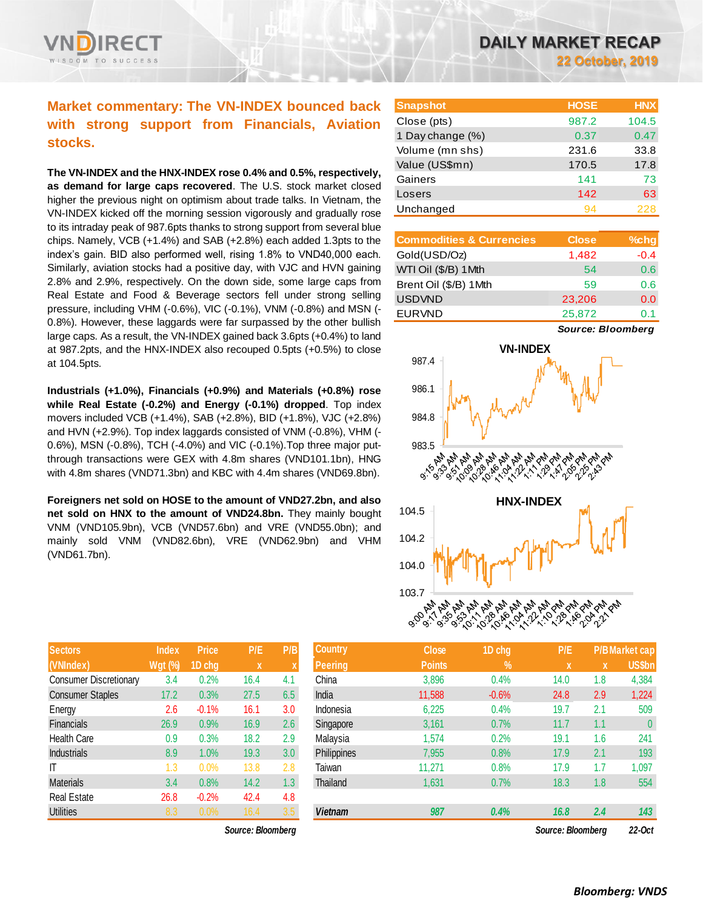## **Market commentary: The VN-INDEX bounced back with strong support from Financials, Aviation stocks.**

**The VN-INDEX and the HNX-INDEX rose 0.4% and 0.5%, respectively, as demand for large caps recovered**. The U.S. stock market closed higher the previous night on optimism about trade talks. In Vietnam, the VN-INDEX kicked off the morning session vigorously and gradually rose to its intraday peak of 987.6pts thanks to strong support from several blue chips. Namely, VCB (+1.4%) and SAB (+2.8%) each added 1.3pts to the index's gain. BID also performed well, rising 1.8% to VND40,000 each. Similarly, aviation stocks had a positive day, with VJC and HVN gaining 2.8% and 2.9%, respectively. On the down side, some large caps from Real Estate and Food & Beverage sectors fell under strong selling pressure, including VHM (-0.6%), VIC (-0.1%), VNM (-0.8%) and MSN (- 0.8%). However, these laggards were far surpassed by the other bullish large caps. As a result, the VN-INDEX gained back 3.6pts (+0.4%) to land at 987.2pts, and the HNX-INDEX also recouped 0.5pts (+0.5%) to close at 104.5pts.

**Industrials (+1.0%), Financials (+0.9%) and Materials (+0.8%) rose while Real Estate (-0.2%) and Energy (-0.1%) dropped**. Top index movers included VCB (+1.4%), SAB (+2.8%), BID (+1.8%), VJC (+2.8%) and HVN (+2.9%). Top index laggards consisted of VNM (-0.8%), VHM (- 0.6%), MSN (-0.8%), TCH (-4.0%) and VIC (-0.1%).Top three major putthrough transactions were GEX with 4.8m shares (VND101.1bn), HNG with 4.8m shares (VND71.3bn) and KBC with 4.4m shares (VND69.8bn).

**Foreigners net sold on HOSE to the amount of VND27.2bn, and also net sold on HNX to the amount of VND24.8bn.** They mainly bought VNM (VND105.9bn), VCB (VND57.6bn) and VRE (VND55.0bn); and mainly sold VNM (VND82.6bn), VRE (VND62.9bn) and VHM (VND61.7bn).

| <b>Sectors</b>                | <b>Index</b>   | <b>Price</b> | P/E  | P/B                       |
|-------------------------------|----------------|--------------|------|---------------------------|
| (VNIndex)                     | <b>Wgt (%)</b> | 1D chg       | X    | $\boldsymbol{\mathsf{X}}$ |
| <b>Consumer Discretionary</b> | 3.4            | 0.2%         | 16.4 | 4.1                       |
| <b>Consumer Staples</b>       | 17.2           | 0.3%         | 27.5 | 6.5                       |
| Energy                        | 2.6            | $-0.1%$      | 16.1 | 3.0                       |
| <b>Financials</b>             | 26.9           | 0.9%         | 16.9 | 2.6                       |
| <b>Health Care</b>            | 0.9            | 0.3%         | 18.2 | 2.9                       |
| <b>Industrials</b>            | 8.9            | 1.0%         | 19.3 | 3.0                       |
| IΤ                            | 1.3            | 0.0%         | 13.8 | 2.8                       |
| <b>Materials</b>              | 3.4            | 0.8%         | 14.2 | 1.3                       |
| <b>Real Estate</b>            | 26.8           | $-0.2%$      | 42.4 | 4.8                       |
| <b>Utilities</b>              | 8.3            | 0.0%         | 16.4 | 3.5                       |

 $Source: Bloomberg$ 

| <b>Snapshot</b>  | <b>HOSE</b> | <b>HNX</b> |
|------------------|-------------|------------|
| Close (pts)      | 987.2       | 104.5      |
| 1 Day change (%) | 0.37        | 0.47       |
| Volume (mn shs)  | 231.6       | 33.8       |
| Value (US\$mn)   | 170.5       | 17.8       |
| Gainers          | 141         | 73         |
| Losers           | 142         | 63         |
| Unchanged        | 94          | 228        |

| <b>Commodities &amp; Currencies</b> | <b>Close</b> | $%$ chg |
|-------------------------------------|--------------|---------|
| Gold(USD/Oz)                        | 1,482        | $-0.4$  |
| WTI Oil (\$/B) 1Mth                 | 54           | 0.6     |
| Brent Oil (\$/B) 1Mth               | 59           | 0.6     |
| <b>USDVND</b>                       | 23,206       | 0.0     |
| <b>EURVND</b>                       | 25,872       | 0.1     |

*Source: Bloomberg*



| Sectors                 | Index          | <b>Price</b> | P/E               | P/B              | Country        | <b>Close</b>  | 1D chq     | P/E               |     | P/B Market cap |
|-------------------------|----------------|--------------|-------------------|------------------|----------------|---------------|------------|-------------------|-----|----------------|
| (VNIndex)               | <b>Wgt (%)</b> | 1D cha       | $\mathbf x$       |                  | <b>Peering</b> | <b>Points</b> | $\sqrt{2}$ | X                 | X   | US\$bn         |
| Consumer Discretionary  | 3.4            | 0.2%         | 16.4              | 4.1              | China          | 3,896         | 0.4%       | 14.0              | 1.8 | 4,384          |
| <b>Consumer Staples</b> | 17.2           | 0.3%         | 27.5              | 6.5              | India          | 11,588        | $-0.6%$    | 24.8              | 2.9 | 1,224          |
| Energy                  | 2.6            | $-0.1%$      | 16.1              | 3.0              | Indonesia      | 6,225         | 0.4%       | 19.7              | 2.1 | 509            |
| <b>Financials</b>       | 26.9           | 0.9%         | 16.9              | 2.6              | Singapore      | 3,161         | 0.7%       | 11.7              | 1.1 | 0              |
| Health Care             | 0.9            | 0.3%         | 18.2              | 2.9              | Malavsia       | 1,574         | 0.2%       | 19.1              | 1.6 | 241            |
| <b>Industrials</b>      | 8.9            | 1.0%         | 19.3              | 3.0              | Philippines    | 7,955         | 0.8%       | 17.9              | 2.1 | 193            |
| Τ                       | 1.3            | 0.0%         | 13.8              | 2.8              | Taiwan         | 11,271        | 0.8%       | 17.9              | 1.7 | 1,097          |
| Materials               | 3.4            | 0.8%         | 14.2              | 1.3 <sub>2</sub> | Thailand       | 1,631         | 0.7%       | 18.3              | 1.8 | 554            |
| Real Estate             | 26.8           | $-0.2%$      | 42.4              | 4.8              |                |               |            |                   |     |                |
| <b>Utilities</b>        | 8.3            | 0.0%         | 16.4              | 3.5              | <b>Vietnam</b> | 987           | 0.4%       | 16.8              | 2.4 | 143            |
|                         |                |              | Source: Bloomberg |                  |                |               |            | Source: Bloombera |     | 22-Oct         |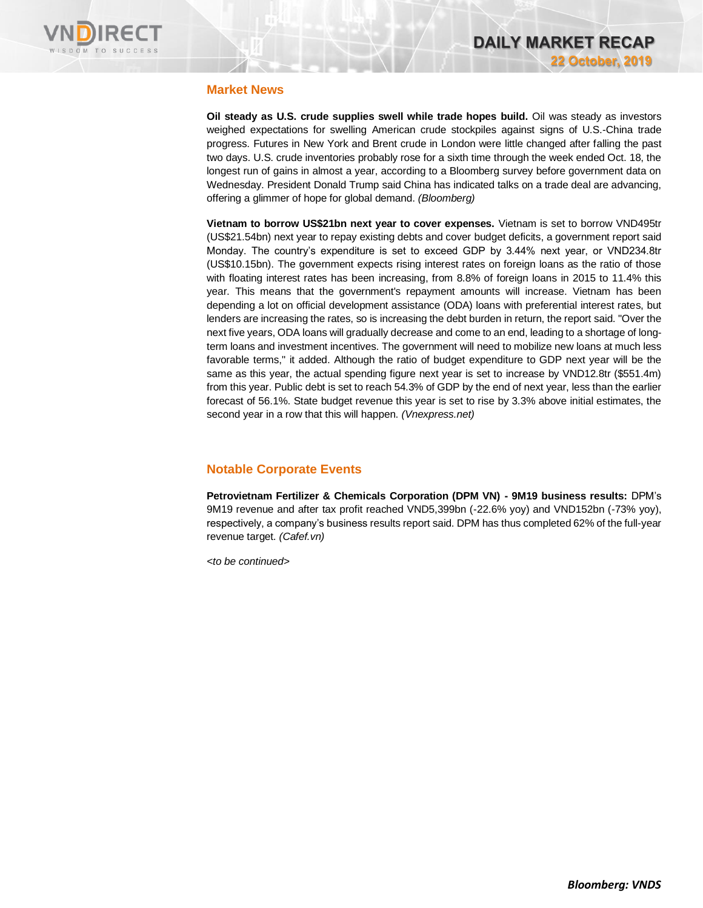

### **Market News**

**Oil steady as U.S. crude supplies swell while trade hopes build.** Oil was steady as investors weighed expectations for swelling American crude stockpiles against signs of U.S.-China trade progress. Futures in New York and Brent crude in London were little changed after falling the past two days. U.S. crude inventories probably rose for a sixth time through the week ended Oct. 18, the longest run of gains in almost a year, according to a Bloomberg survey before government data on Wednesday. President Donald Trump said China has indicated talks on a trade deal are advancing, offering a glimmer of hope for global demand. *(Bloomberg)*

**Vietnam to borrow US\$21bn next year to cover expenses.** Vietnam is set to borrow VND495tr (US\$21.54bn) next year to repay existing debts and cover budget deficits, a government report said Monday. The country's expenditure is set to exceed GDP by 3.44% next year, or VND234.8tr (US\$10.15bn). The government expects rising interest rates on foreign loans as the ratio of those with floating interest rates has been increasing, from 8.8% of foreign loans in 2015 to 11.4% this year. This means that the government's repayment amounts will increase. Vietnam has been depending a lot on official development assistance (ODA) loans with preferential interest rates, but lenders are increasing the rates, so is increasing the debt burden in return, the report said. "Over the next five years, ODA loans will gradually decrease and come to an end, leading to a shortage of longterm loans and investment incentives. The government will need to mobilize new loans at much less favorable terms," it added. Although the ratio of budget expenditure to GDP next year will be the same as this year, the actual spending figure next year is set to increase by VND12.8tr (\$551.4m) from this year. Public debt is set to reach 54.3% of GDP by the end of next year, less than the earlier forecast of 56.1%. State budget revenue this year is set to rise by 3.3% above initial estimates, the second year in a row that this will happen. *(Vnexpress.net)*

## **Notable Corporate Events**

**Petrovietnam Fertilizer & Chemicals Corporation (DPM VN) - 9M19 business results:** DPM's 9M19 revenue and after tax profit reached VND5,399bn (-22.6% yoy) and VND152bn (-73% yoy), respectively, a company's business results report said. DPM has thus completed 62% of the full-year revenue target. *(Cafef.vn)*

*<to be continued>*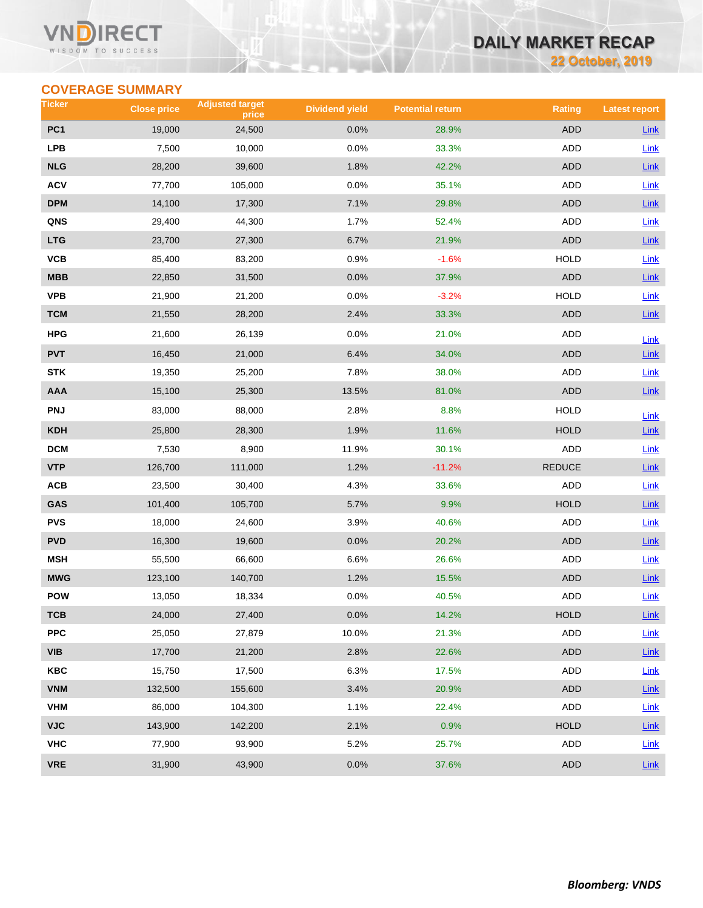#### VI ECT WISDOM TO SUCCESS

# **DAILY MARKET RECAP**

**22 October, 2019**

## **COVERAGE SUMMARY**

| Ticker          | <b>Close price</b> | <b>Adjusted target</b><br>price | <b>Dividend yield</b> | <b>Potential return</b> | <b>Rating</b> | <b>Latest report</b> |
|-----------------|--------------------|---------------------------------|-----------------------|-------------------------|---------------|----------------------|
| PC <sub>1</sub> | 19,000             | 24,500                          | 0.0%                  | 28.9%                   | <b>ADD</b>    | Link                 |
| <b>LPB</b>      | 7,500              | 10,000                          | 0.0%                  | 33.3%                   | ADD           | Link                 |
| <b>NLG</b>      | 28,200             | 39,600                          | 1.8%                  | 42.2%                   | <b>ADD</b>    | Link                 |
| <b>ACV</b>      | 77,700             | 105,000                         | 0.0%                  | 35.1%                   | ADD           | Link                 |
| <b>DPM</b>      | 14,100             | 17,300                          | 7.1%                  | 29.8%                   | ADD           | Link                 |
| QNS             | 29,400             | 44,300                          | 1.7%                  | 52.4%                   | <b>ADD</b>    | Link                 |
| <b>LTG</b>      | 23,700             | 27,300                          | 6.7%                  | 21.9%                   | <b>ADD</b>    | Link                 |
| VCB             | 85,400             | 83,200                          | 0.9%                  | $-1.6%$                 | <b>HOLD</b>   | Link                 |
| MBB             | 22,850             | 31,500                          | 0.0%                  | 37.9%                   | <b>ADD</b>    | Link                 |
| <b>VPB</b>      | 21,900             | 21,200                          | 0.0%                  | $-3.2%$                 | <b>HOLD</b>   | Link                 |
| <b>TCM</b>      | 21,550             | 28,200                          | 2.4%                  | 33.3%                   | <b>ADD</b>    | Link                 |
| HPG             | 21,600             | 26,139                          | 0.0%                  | 21.0%                   | <b>ADD</b>    | Link                 |
| <b>PVT</b>      | 16,450             | 21,000                          | 6.4%                  | 34.0%                   | <b>ADD</b>    | Link                 |
| <b>STK</b>      | 19,350             | 25,200                          | 7.8%                  | 38.0%                   | <b>ADD</b>    | Link                 |
| AAA             | 15,100             | 25,300                          | 13.5%                 | 81.0%                   | <b>ADD</b>    | Link                 |
| <b>PNJ</b>      | 83,000             | 88,000                          | 2.8%                  | 8.8%                    | <b>HOLD</b>   | Link                 |
| <b>KDH</b>      | 25,800             | 28,300                          | 1.9%                  | 11.6%                   | <b>HOLD</b>   | $Link$               |
| <b>DCM</b>      | 7,530              | 8,900                           | 11.9%                 | 30.1%                   | <b>ADD</b>    | Link                 |
| <b>VTP</b>      | 126,700            | 111,000                         | 1.2%                  | $-11.2%$                | <b>REDUCE</b> | Link                 |
| ACB             | 23,500             | 30,400                          | 4.3%                  | 33.6%                   | ADD           | Link                 |
| GAS             | 101,400            | 105,700                         | 5.7%                  | 9.9%                    | <b>HOLD</b>   | <b>Link</b>          |
| <b>PVS</b>      | 18,000             | 24,600                          | 3.9%                  | 40.6%                   | <b>ADD</b>    | Link                 |
| <b>PVD</b>      | 16,300             | 19,600                          | 0.0%                  | 20.2%                   | ADD           | $Link$               |
| <b>MSH</b>      | 55,500             | 66,600                          | 6.6%                  | 26.6%                   | ADD           | <b>Link</b>          |
| <b>MWG</b>      | 123,100            | 140,700                         | 1.2%                  | 15.5%                   | <b>ADD</b>    | $Link$               |
| <b>POW</b>      | 13,050             | 18,334                          | 0.0%                  | 40.5%                   | <b>ADD</b>    | Link                 |
| тсв             | 24,000             | 27,400                          | $0.0\%$               | 14.2%                   | <b>HOLD</b>   | <b>Link</b>          |
| <b>PPC</b>      | 25,050             | 27,879                          | 10.0%                 | 21.3%                   | ADD           | Link                 |
| <b>VIB</b>      | 17,700             | 21,200                          | 2.8%                  | 22.6%                   | ADD           | Link                 |
| <b>KBC</b>      | 15,750             | 17,500                          | 6.3%                  | 17.5%                   | ADD           | Link                 |
| <b>VNM</b>      | 132,500            | 155,600                         | 3.4%                  | 20.9%                   | <b>ADD</b>    | <b>Link</b>          |
| <b>VHM</b>      | 86,000             | 104,300                         | 1.1%                  | 22.4%                   | ADD           | <b>Link</b>          |
| <b>VJC</b>      | 143,900            | 142,200                         | 2.1%                  | 0.9%                    | <b>HOLD</b>   | Link                 |
| <b>VHC</b>      | 77,900             | 93,900                          | 5.2%                  | 25.7%                   | ADD           | <b>Link</b>          |
| <b>VRE</b>      | 31,900             | 43,900                          | 0.0%                  | 37.6%                   | ADD           | <b>Link</b>          |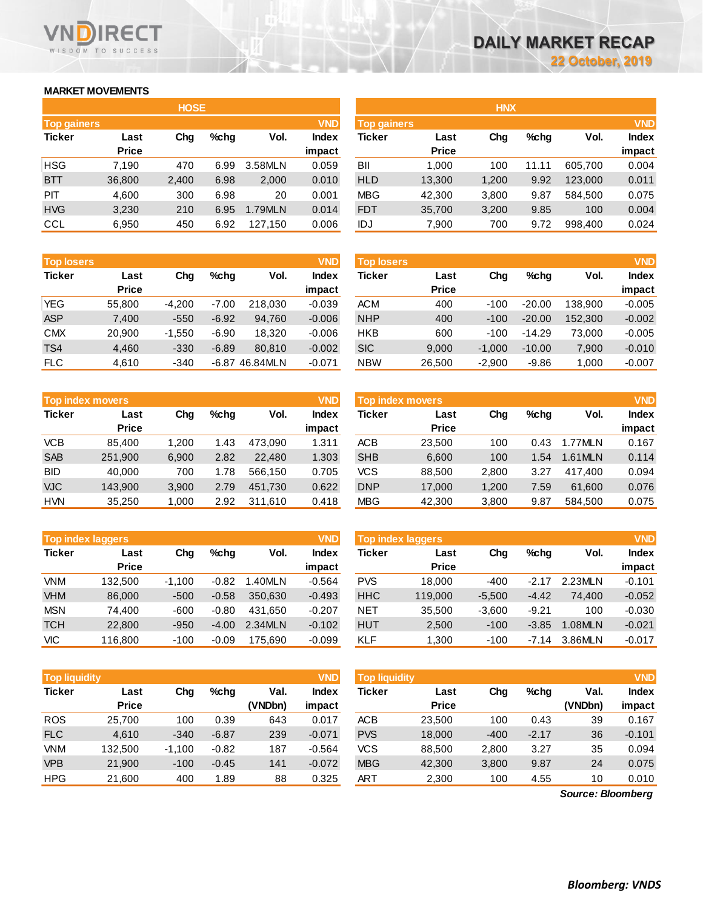## **MARKET MOVEMENTS**

WISDOM TO SUCCESS

RECT

|                    | <b>HOSE</b>  |       |      |         |              |  |  |  |  |  |  |  |  |
|--------------------|--------------|-------|------|---------|--------------|--|--|--|--|--|--|--|--|
| <b>Top gainers</b> |              |       |      |         | <b>VND</b>   |  |  |  |  |  |  |  |  |
| <b>Ticker</b>      | Last         | Cha   | %chq | Vol.    | <b>Index</b> |  |  |  |  |  |  |  |  |
|                    | <b>Price</b> |       |      |         | impact       |  |  |  |  |  |  |  |  |
| <b>HSG</b>         | 7,190        | 470   | 6.99 | 3.58MLN | 0.059        |  |  |  |  |  |  |  |  |
| <b>BTT</b>         | 36,800       | 2,400 | 6.98 | 2,000   | 0.010        |  |  |  |  |  |  |  |  |
| PIT                | 4,600        | 300   | 6.98 | 20      | 0.001        |  |  |  |  |  |  |  |  |
| <b>HVG</b>         | 3,230        | 210   | 6.95 | 1.79MLN | 0.014        |  |  |  |  |  |  |  |  |
| CCL                | 6,950        | 450   | 6.92 | 127,150 | 0.006        |  |  |  |  |  |  |  |  |

| <b>Top losers</b> |              |          |         |          | <b>VND</b>   |
|-------------------|--------------|----------|---------|----------|--------------|
| <b>Ticker</b>     | Last         | Cha      | $%$ chq | Vol.     | <b>Index</b> |
|                   | <b>Price</b> |          |         |          | impact       |
| <b>YEG</b>        | 55,800       | $-4,200$ | $-7.00$ | 218,030  | $-0.039$     |
| <b>ASP</b>        | 7,400        | $-550$   | $-6.92$ | 94,760   | $-0.006$     |
| <b>CMX</b>        | 20,900       | $-1,550$ | $-6.90$ | 18.320   | $-0.006$     |
| TS4               | 4,460        | $-330$   | $-6.89$ | 80,810   | $-0.002$     |
| <b>FLC</b>        | 4,610        | $-340$   | -6.87   | 46.84MLN | $-0.071$     |

|               | <b>VND</b><br><b>Top index movers</b> |       |      |         |              |  |  |  |  |  |  |  |  |
|---------------|---------------------------------------|-------|------|---------|--------------|--|--|--|--|--|--|--|--|
| <b>Ticker</b> | Last                                  | Chq   | %chq | Vol.    | <b>Index</b> |  |  |  |  |  |  |  |  |
|               | <b>Price</b>                          |       |      |         | impact       |  |  |  |  |  |  |  |  |
| <b>VCB</b>    | 85,400                                | 1,200 | 1.43 | 473,090 | 1.311        |  |  |  |  |  |  |  |  |
| <b>SAB</b>    | 251,900                               | 6,900 | 2.82 | 22,480  | 1.303        |  |  |  |  |  |  |  |  |
| <b>BID</b>    | 40,000                                | 700   | 1.78 | 566,150 | 0.705        |  |  |  |  |  |  |  |  |
| <b>VJC</b>    | 143,900                               | 3,900 | 2.79 | 451,730 | 0.622        |  |  |  |  |  |  |  |  |
| <b>HVN</b>    | 35,250                                | 1,000 | 2.92 | 311,610 | 0.418        |  |  |  |  |  |  |  |  |

|            | <b>Top index laggers</b> |          |         |         | <b>VND</b>      |            | Top index laggers    |          |         |         | <b>VND</b>             |
|------------|--------------------------|----------|---------|---------|-----------------|------------|----------------------|----------|---------|---------|------------------------|
| Ticker     | Last<br><b>Price</b>     | Chg      | %chq    | Vol.    | Index<br>impact | Ticker     | Last<br><b>Price</b> | Chg      | $%$ chq | Vol.    | <b>Index</b><br>impact |
| <b>VNM</b> | 132.500                  | $-1.100$ | $-0.82$ | .40MLN  | $-0.564$        | <b>PVS</b> | 18.000               | $-400$   | $-2.17$ | 2.23MLN | $-0.101$               |
| <b>VHM</b> | 86,000                   | $-500$   | $-0.58$ | 350.630 | $-0.493$        | <b>HHC</b> | 119,000              | $-5.500$ | $-4.42$ | 74.400  | $-0.052$               |
| <b>MSN</b> | 74.400                   | $-600$   | $-0.80$ | 431.650 | $-0.207$        | <b>NET</b> | 35.500               | $-3.600$ | $-9.21$ | 100     | $-0.030$               |
| <b>TCH</b> | 22,800                   | $-950$   | $-4.00$ | 2.34MLN | $-0.102$        | <b>HUT</b> | 2,500                | $-100$   | $-3.85$ | 1.08MLN | $-0.021$               |
| VIC        | 116.800                  | $-100$   | $-0.09$ | 175.690 | $-0.099$        | KLF        | 1.300                | $-100$   | $-7.14$ | 3.86MLN | $-0.017$               |

| <b>VND</b><br><b>Top liquidity</b> |              |          |         |         |              | <b>Top liquidity</b> |              |        |         |                   | <b>VND</b>   |
|------------------------------------|--------------|----------|---------|---------|--------------|----------------------|--------------|--------|---------|-------------------|--------------|
| <b>Ticker</b>                      | Last         | Chg      | $%$ chq | Val.    | <b>Index</b> | <b>Ticker</b>        | Last         | Chg    | $%$ chq | Val.              | <b>Index</b> |
|                                    | <b>Price</b> |          |         | (VNDbn) | impact       |                      | <b>Price</b> |        |         | (VNDbn)           | impact       |
| <b>ROS</b>                         | 25,700       | 100      | 0.39    | 643     | 0.017        | ACB                  | 23,500       | 100    | 0.43    | 39                | 0.167        |
| <b>FLC</b>                         | 4,610        | $-340$   | $-6.87$ | 239     | $-0.071$     | <b>PVS</b>           | 18,000       | $-400$ | $-2.17$ | 36                | $-0.101$     |
| VNM                                | 132,500      | $-1,100$ | $-0.82$ | 187     | $-0.564$     | <b>VCS</b>           | 88,500       | 2,800  | 3.27    | 35                | 0.094        |
| <b>VPB</b>                         | 21,900       | $-100$   | $-0.45$ | 141     | $-0.072$     | <b>MBG</b>           | 42,300       | 3,800  | 9.87    | 24                | 0.075        |
| <b>HPG</b>                         | 21,600       | 400      | 1.89    | 88      | 0.325        | ART                  | 2,300        | 100    | 4.55    | 10                | 0.010        |
|                                    |              |          |         |         |              |                      |              |        |         | Source: Bloomberg |              |

*Source: Bloomberg*

|                                  |              | <b>HOSE</b> |         |         |              |                    |              | <b>HNX</b> |         |         |              |
|----------------------------------|--------------|-------------|---------|---------|--------------|--------------------|--------------|------------|---------|---------|--------------|
| <b>VND</b><br><b>Top gainers</b> |              |             |         |         |              | <b>Top gainers</b> |              | <b>VND</b> |         |         |              |
| <b>Ticker</b>                    | Last         | Chg         | $%$ chq | Vol.    | <b>Index</b> | Ticker             | Last         | Chg        | $%$ chq | Vol.    | <b>Index</b> |
|                                  | <b>Price</b> |             |         |         | impact       |                    | <b>Price</b> |            |         |         | impact       |
| HSG                              | 7.190        | 470         | 6.99    | 3.58MLN | 0.059        | BII                | 1.000        | 100        | 11.11   | 605.700 | 0.004        |
| <b>BTT</b>                       | 36,800       | 2,400       | 6.98    | 2,000   | 0.010        | <b>HLD</b>         | 13,300       | 1,200      | 9.92    | 123,000 | 0.011        |
| <b>PIT</b>                       | 4,600        | 300         | 6.98    | 20      | 0.001        | MBG                | 42,300       | 3,800      | 9.87    | 584.500 | 0.075        |
| <b>HVG</b>                       | 3,230        | 210         | 6.95    | 1.79MLN | 0.014        | <b>FDT</b>         | 35,700       | 3,200      | 9.85    | 100     | 0.004        |
| CCL                              | 6,950        | 450         | 6.92    | 127,150 | 0.006        | IDJ                | 7,900        | 700        | 9.72    | 998,400 | 0.024        |
|                                  |              |             |         |         |              |                    |              |            |         |         |              |

| <b>VND</b><br><b>Top losers</b> |              |          |         |                  |              | <b>VND</b><br><b>Top losers</b> |              |          |          |         |              |
|---------------------------------|--------------|----------|---------|------------------|--------------|---------------------------------|--------------|----------|----------|---------|--------------|
| <b>Ticker</b>                   | Last         | Chg      | $%$ chq | Vol.             | <b>Index</b> | Ticker                          | Last         | Chg      | $%$ chq  | Vol.    | <b>Index</b> |
|                                 | <b>Price</b> |          |         |                  | impact       |                                 | <b>Price</b> |          |          |         | impact       |
| <b>YEG</b>                      | 55,800       | $-4.200$ | $-7.00$ | 218.030          | $-0.039$     | <b>ACM</b>                      | 400          | $-100$   | $-20.00$ | 138.900 | $-0.005$     |
| ASP                             | 7,400        | $-550$   | $-6.92$ | 94.760           | $-0.006$     | <b>NHP</b>                      | 400          | $-100$   | $-20.00$ | 152,300 | $-0.002$     |
| <b>CMX</b>                      | 20.900       | $-1.550$ | $-6.90$ | 18.320           | $-0.006$     | <b>HKB</b>                      | 600          | $-100$   | $-14.29$ | 73.000  | $-0.005$     |
| TS4                             | 4,460        | $-330$   | $-6.89$ | 80.810           | $-0.002$     | <b>SIC</b>                      | 9,000        | $-1.000$ | $-10.00$ | 7,900   | $-0.010$     |
| <b>FLC</b>                      | 4,610        | $-340$   |         | $-6.87$ 46.84MLN | $-0.071$     | <b>NBW</b>                      | 26,500       | $-2,900$ | $-9.86$  | 1,000   | $-0.007$     |
|                                 |              |          |         |                  |              |                                 |              |          |          |         |              |

|            | <b>Top index movers</b> |       |         |         | <b>VND</b> | <b>Top index movers</b> |              |       |         |         |              |
|------------|-------------------------|-------|---------|---------|------------|-------------------------|--------------|-------|---------|---------|--------------|
| Ticker     | Last                    | Chg   | $%$ chq | Vol.    | Index      | Ticker                  | Last         | Chg   | $%$ chq | Vol.    | <b>Index</b> |
|            | <b>Price</b>            |       |         |         | impact     |                         | <b>Price</b> |       |         |         | impact       |
| <b>VCB</b> | 85.400                  | 1.200 | 1.43    | 473.090 | 1.311      | <b>ACB</b>              | 23.500       | 100   | 0.43    | .77MLN  | 0.167        |
| <b>SAB</b> | 251,900                 | 6,900 | 2.82    | 22,480  | 1.303      | <b>SHB</b>              | 6,600        | 100   | .54     | 1.61MLN | 0.114        |
| BID        | 40.000                  | 700   | 1.78    | 566.150 | 0.705      | <b>VCS</b>              | 88,500       | 2,800 | 3.27    | 417.400 | 0.094        |
| VJC        | 143.900                 | 3,900 | 2.79    | 451.730 | 0.622      | <b>DNP</b>              | 17,000       | 1,200 | 7.59    | 61,600  | 0.076        |
| <b>HVN</b> | 35,250                  | 1,000 | 2.92    | 311.610 | 0.418      | <b>MBG</b>              | 42,300       | 3,800 | 9.87    | 584,500 | 0.075        |
|            |                         |       |         |         |            |                         |              |       |         |         |              |

|               | <b>VND</b><br><b>Top index laggers</b> |          |         |         |              |  |  |  |  |  |  |  |  |  |
|---------------|----------------------------------------|----------|---------|---------|--------------|--|--|--|--|--|--|--|--|--|
| <b>Ticker</b> | Last                                   | Cha      | %chq    | Vol.    | <b>Index</b> |  |  |  |  |  |  |  |  |  |
|               | <b>Price</b>                           |          |         |         | impact       |  |  |  |  |  |  |  |  |  |
| <b>PVS</b>    | 18,000                                 | $-400$   | $-2.17$ | 2.23MLN | $-0.101$     |  |  |  |  |  |  |  |  |  |
| <b>HHC</b>    | 119,000                                | $-5,500$ | $-4.42$ | 74.400  | $-0.052$     |  |  |  |  |  |  |  |  |  |
| <b>NET</b>    | 35,500                                 | $-3,600$ | $-9.21$ | 100     | $-0.030$     |  |  |  |  |  |  |  |  |  |
| <b>HUT</b>    | 2.500                                  | $-100$   | $-3.85$ | 1.08MLN | $-0.021$     |  |  |  |  |  |  |  |  |  |
| <b>KLF</b>    | 1,300                                  | $-100$   | $-7.14$ | 3.86MLN | $-0.017$     |  |  |  |  |  |  |  |  |  |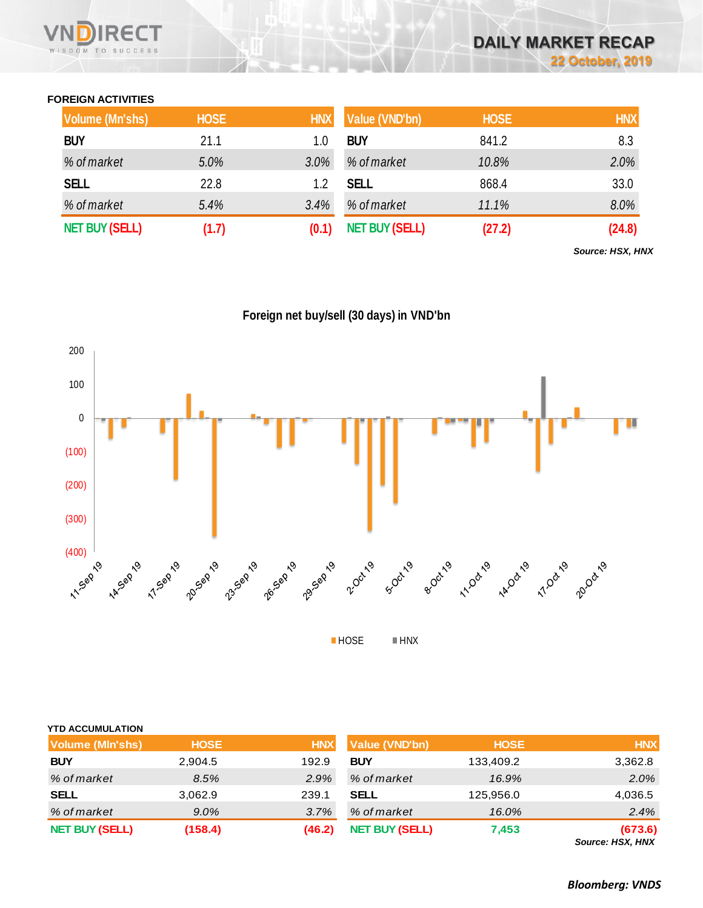## **FOREIGN ACTIVITIES**

| <b>Volume (Mn'shs)</b> | <b>HOSE</b> | <b>HNX</b> | Value (VND'bn)        | <b>HOSE</b> | <b>HNX</b> |
|------------------------|-------------|------------|-----------------------|-------------|------------|
| <b>BUY</b>             | 21.1        | 1.0        | <b>BUY</b>            | 841.2       | 8.3        |
| % of market            | 5.0%        | 3.0%       | % of market           | 10.8%       | 2.0%       |
| <b>SELL</b>            | 22.8        | 1.2        | <b>SELL</b>           | 868.4       | 33.0       |
| % of market            | 5.4%        | 3.4%       | % of market           | 11.1%       | 8.0%       |
| <b>NET BUY (SELL)</b>  | (1.7)       |            | <b>NET BUY (SELL)</b> | (27.2)      | (24.8)     |

*Source: HSX, HNX*

**Foreign net buy/sell (30 days) in VND'bn**



| <b>YTD ACCUMULATION</b><br><b>Volume (MIn'shs)</b> | <b>HOSE</b> | <b>HNX</b> | <b>Value (VND'bn)</b> | <b>HOSE</b> | <b>HNX</b>                  |
|----------------------------------------------------|-------------|------------|-----------------------|-------------|-----------------------------|
| <b>BUY</b>                                         | 2,904.5     | 192.9      | <b>BUY</b>            | 133,409.2   | 3,362.8                     |
| % of market                                        | 8.5%        | 2.9%       | % of market           | 16.9%       | 2.0%                        |
| <b>SELL</b>                                        | 3,062.9     | 239.1      | <b>SELL</b>           | 125.956.0   | 4,036.5                     |
| % of market                                        | $9.0\%$     | 3.7%       | % of market           | 16.0%       | 2.4%                        |
| <b>NET BUY (SELL)</b>                              | (158.4)     | (46.2)     | <b>NET BUY (SELL)</b> | 7,453       | (673.6)<br>Source: HSX, HNX |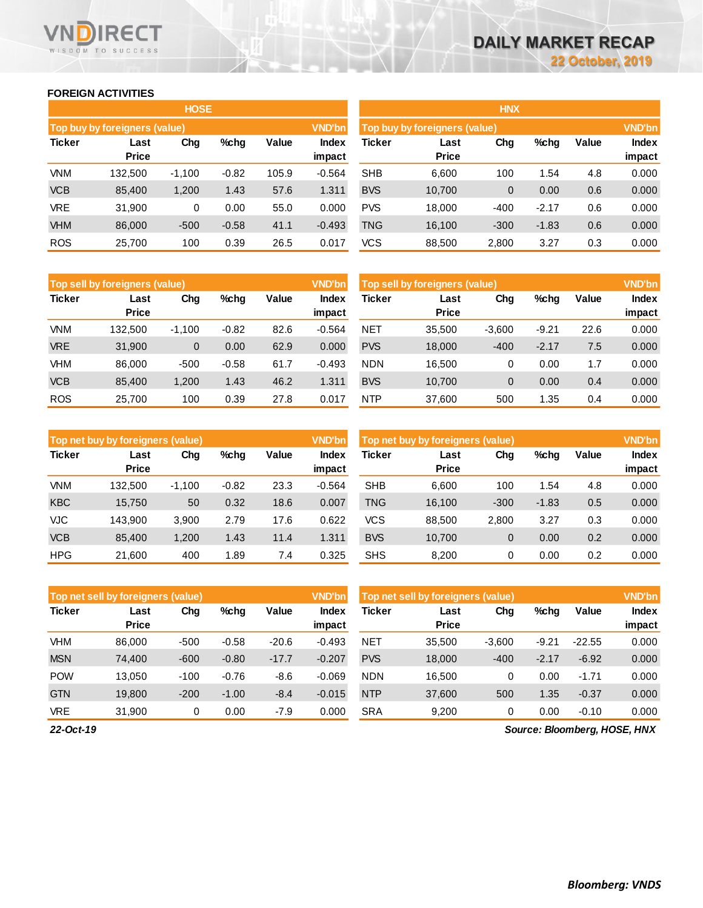#### **FOREIGN ACTIVITIES**

WISDOM TO SUCCESS

**RECT** 

**VN** 

D

|               |                               | <b>HOSE</b> |         |       |               | <b>HNX</b>                    |                      |              |         |       |              |  |
|---------------|-------------------------------|-------------|---------|-------|---------------|-------------------------------|----------------------|--------------|---------|-------|--------------|--|
|               | Top buy by foreigners (value) |             |         |       | <b>VND'bn</b> | Top buy by foreigners (value) |                      |              |         |       |              |  |
| <b>Ticker</b> | Last<br><b>Price</b>          | Chg         | %chg    | Value | <b>Index</b>  | Ticker                        | Last<br><b>Price</b> | Chg          | %chg    | Value | <b>Index</b> |  |
|               |                               |             |         |       | impact        |                               |                      |              |         |       | impact       |  |
| <b>VNM</b>    | 132,500                       | $-1,100$    | $-0.82$ | 105.9 | $-0.564$      | <b>SHB</b>                    | 6,600                | 100          | .54     | 4.8   | 0.000        |  |
| <b>VCB</b>    | 85,400                        | 1,200       | 1.43    | 57.6  | 1.311         | <b>BVS</b>                    | 10,700               | $\mathbf{0}$ | 0.00    | 0.6   | 0.000        |  |
| <b>VRE</b>    | 31,900                        | 0           | 0.00    | 55.0  | 0.000         | <b>PVS</b>                    | 18,000               | $-400$       | $-2.17$ | 0.6   | 0.000        |  |
| <b>VHM</b>    | 86,000                        | $-500$      | $-0.58$ | 41.1  | $-0.493$      | <b>TNG</b>                    | 16.100               | $-300$       | $-1.83$ | 0.6   | 0.000        |  |
| <b>ROS</b>    | 25,700                        | 100         | 0.39    | 26.5  | 0.017         | <b>VCS</b>                    | 88,500               | 2,800        | 3.27    | 0.3   | 0.000        |  |

|               | Top sell by foreigners (value) |          |         |       | <b>VND'bn</b>          | Top sell by foreigners (value) |                      |             |         |       |                 |
|---------------|--------------------------------|----------|---------|-------|------------------------|--------------------------------|----------------------|-------------|---------|-------|-----------------|
| <b>Ticker</b> | Last<br><b>Price</b>           | Chg      | $%$ chg | Value | <b>Index</b><br>impact | <b>Ticker</b>                  | Last<br><b>Price</b> | Chg         | %chg    | Value | Index<br>impact |
| VNM           | 132.500                        | $-1.100$ | $-0.82$ | 82.6  | $-0.564$               | <b>NET</b>                     | 35.500               | $-3,600$    | $-9.21$ | 22.6  | 0.000           |
| <b>VRE</b>    | 31,900                         | 0        | 0.00    | 62.9  | 0.000                  | <b>PVS</b>                     | 18,000               | $-400$      | $-2.17$ | 7.5   | 0.000           |
| <b>VHM</b>    | 86,000                         | $-500$   | $-0.58$ | 61.7  | $-0.493$               | <b>NDN</b>                     | 16.500               | 0           | 0.00    | 1.7   | 0.000           |
| <b>VCB</b>    | 85.400                         | 1,200    | 1.43    | 46.2  | 1.311                  | <b>BVS</b>                     | 10.700               | $\mathbf 0$ | 0.00    | 0.4   | 0.000           |
| <b>ROS</b>    | 25,700                         | 100      | 0.39    | 27.8  | 0.017                  | <b>NTP</b>                     | 37,600               | 500         | 1.35    | 0.4   | 0.000           |

|               | Top net buy by foreigners (value) |          |         |       | <b>VND'bn</b>   | Top net buy by foreigners (value) |                      |             |         |       | <b>VND'bn</b>          |
|---------------|-----------------------------------|----------|---------|-------|-----------------|-----------------------------------|----------------------|-------------|---------|-------|------------------------|
| <b>Ticker</b> | Last<br><b>Price</b>              | Chg      | $%$ chg | Value | Index<br>impact | Ticker                            | Last<br><b>Price</b> | Chg         | %chg    | Value | <b>Index</b><br>impact |
| <b>VNM</b>    | 132.500                           | $-1,100$ | $-0.82$ | 23.3  | $-0.564$        | <b>SHB</b>                        | 6.600                | 100         | 1.54    | 4.8   | 0.000                  |
| <b>KBC</b>    | 15.750                            | 50       | 0.32    | 18.6  | 0.007           | <b>TNG</b>                        | 16.100               | $-300$      | $-1.83$ | 0.5   | 0.000                  |
| <b>VJC</b>    | 143.900                           | 3,900    | 2.79    | 17.6  | 0.622           | <b>VCS</b>                        | 88.500               | 2,800       | 3.27    | 0.3   | 0.000                  |
| <b>VCB</b>    | 85.400                            | 1,200    | 1.43    | 11.4  | 1.311           | <b>BVS</b>                        | 10,700               | $\mathbf 0$ | 0.00    | 0.2   | 0.000                  |
| <b>HPG</b>    | 21.600                            | 400      | 89. ا   | 7.4   | 0.325           | <b>SHS</b>                        | 8.200                | 0           | 0.00    | 0.2   | 0.000                  |

|               | Top net sell by foreigners (value) |        |         |         | <b>VND'bn</b>   | <b>VND'bn</b><br>Top net sell by foreigners (value) |                      |          |         |          |                        |
|---------------|------------------------------------|--------|---------|---------|-----------------|-----------------------------------------------------|----------------------|----------|---------|----------|------------------------|
| <b>Ticker</b> | Last<br><b>Price</b>               | Chg    | $%$ chg | Value   | Index<br>impact | Ticker                                              | Last<br><b>Price</b> | Chg      | %chg    | Value    | <b>Index</b><br>impact |
| <b>VHM</b>    | 86,000                             | $-500$ | $-0.58$ | $-20.6$ | $-0.493$        | NET                                                 | 35,500               | $-3,600$ | $-9.21$ | $-22.55$ | 0.000                  |
| <b>MSN</b>    | 74,400                             | $-600$ | $-0.80$ | $-17.7$ | $-0.207$        | <b>PVS</b>                                          | 18,000               | $-400$   | $-2.17$ | $-6.92$  | 0.000                  |
| <b>POW</b>    | 3,050                              | $-100$ | $-0.76$ | $-8.6$  | $-0.069$        | <b>NDN</b>                                          | 16,500               | 0        | 0.00    | $-1.71$  | 0.000                  |
| <b>GTN</b>    | 19.800                             | $-200$ | $-1.00$ | $-8.4$  | $-0.015$        | <b>NTP</b>                                          | 37,600               | 500      | 1.35    | $-0.37$  | 0.000                  |
| <b>VRE</b>    | 31,900                             | 0      | 0.00    | $-7.9$  | 0.000           | <b>SRA</b>                                          | 9,200                | 0        | 0.00    | $-0.10$  | 0.000                  |

*22-Oct-19*

*Source: Bloomberg, HOSE, HNX*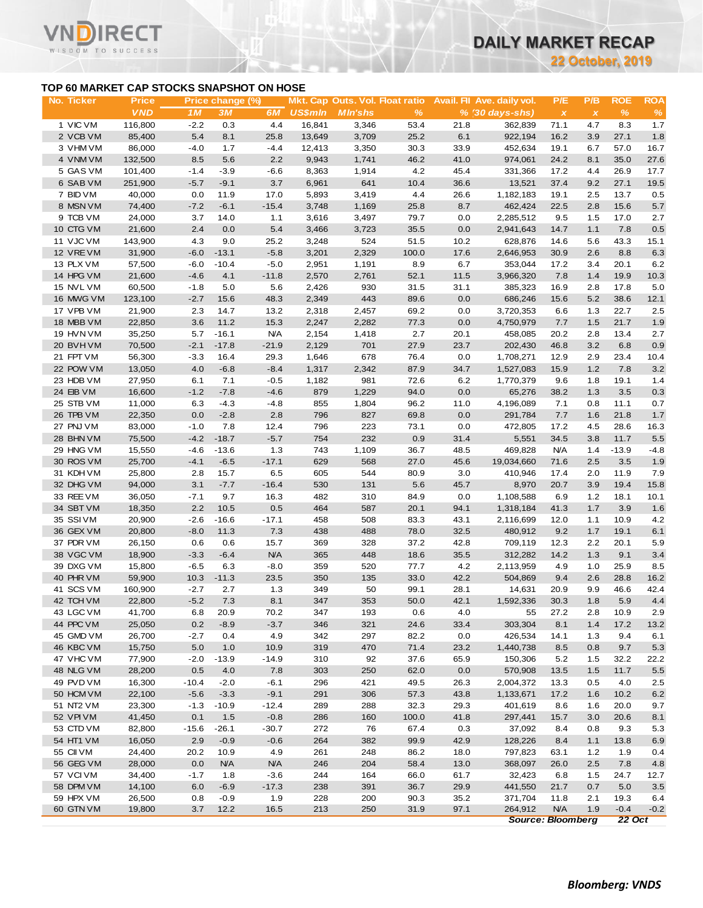**22 October, 2019**

### **TOP 60 MARKET CAP STOCKS SNAPSHOT ON HOSE**

т

|                                           |                   |               |                  |                |                 |                                        |              |              |                            |                           | <b>22 October, 2019</b> |                |               |
|-------------------------------------------|-------------------|---------------|------------------|----------------|-----------------|----------------------------------------|--------------|--------------|----------------------------|---------------------------|-------------------------|----------------|---------------|
| TOP 60 MARKET CAP STOCKS SNAPSHOT ON HOSE |                   |               |                  |                |                 |                                        |              |              |                            |                           |                         |                |               |
| No. Ticker                                | <b>Price</b>      |               | Price change (%) |                |                 | <b>Mkt. Cap Outs. Vol. Float ratio</b> |              |              | Avail. Fil Ave. daily vol. | P/E                       | P/B                     | <b>ROE</b>     | <b>ROA</b>    |
|                                           | <b>VND</b>        | 1M            | 3M               | 6M             | <b>US\$mln</b>  | <b>MIn'shs</b>                         | %            |              | $% (30 days-shs)$          | $\boldsymbol{\mathsf{x}}$ | $\pmb{\chi}$            | $\frac{9}{6}$  | $\%$          |
| 1 VIC VM                                  | 116,800           | $-2.2$        | 0.3              | 4.4            | 16,841          | 3,346                                  | 53.4         | 21.8         | 362,839                    | 71.1                      | 4.7                     | 8.3            | 1.7           |
| 2 VCB VM                                  | 85,400            | 5.4           | 8.1              | 25.8           | 13,649          | 3,709                                  | 25.2         | 6.1          | 922,194                    | 16.2                      | 3.9                     | 27.1           | 1.8           |
| 3 VHM VM<br>4 VNM VM                      | 86,000<br>132,500 | $-4.0$<br>8.5 | 1.7<br>5.6       | $-4.4$<br>2.2  | 12,413<br>9,943 | 3,350<br>1,741                         | 30.3<br>46.2 | 33.9<br>41.0 | 452,634<br>974,061         | 19.1<br>24.2              | 6.7<br>8.1              | 57.0<br>35.0   | 16.7<br>27.6  |
| 5 GAS VM                                  | 101,400           | $-1.4$        | $-3.9$           | $-6.6$         | 8,363           | 1,914                                  | 4.2          | 45.4         | 331,366                    | 17.2                      | 4.4                     | 26.9           | 17.7          |
| 6 SAB VM                                  | 251,900           | $-5.7$        | $-9.1$           | 3.7            | 6,961           | 641                                    | 10.4         | 36.6         | 13,521                     | 37.4                      | 9.2                     | 27.1           | 19.5          |
| 7 BID VM                                  | 40,000            | 0.0           | 11.9             | 17.0           | 5,893           | 3,419                                  | 4.4          | 26.6         | 1,182,183                  | 19.1                      | 2.5                     | 13.7           | 0.5           |
| 8 MSN VM                                  | 74,400            | $-7.2$        | $-6.1$           | $-15.4$        | 3,748           | 1,169                                  | 25.8         | 8.7          | 462,424                    | 22.5                      | 2.8                     | 15.6           | $5.7\,$       |
| 9 TCB VM                                  | 24,000            | 3.7           | 14.0             | 1.1            | 3,616           | 3,497                                  | 79.7         | 0.0          | 2,285,512                  | 9.5                       | 1.5                     | 17.0           | 2.7           |
| 10 CTG VM                                 | 21,600            | 2.4           | 0.0              | 5.4            | 3,466           | 3,723                                  | 35.5         | 0.0          | 2,941,643                  | 14.7                      | 1.1                     | 7.8            | 0.5           |
| 11 VJC VM                                 | 143,900           | 4.3           | 9.0              | 25.2           | 3,248           | 524                                    | 51.5         | 10.2         | 628,876                    | 14.6                      | 5.6                     | 43.3           | 15.1          |
| 12 VREVM                                  | 31,900            | $-6.0$        | $-13.1$          | $-5.8$         | 3,201           | 2,329                                  | 100.0        | 17.6         | 2,646,953                  | 30.9                      | 2.6                     | 8.8            | 6.3           |
| 13 PLX VM                                 | 57,500            | $-6.0$        | $-10.4$          | $-5.0$         | 2,951           | 1,191                                  | 8.9          | 6.7          | 353,044                    | 17.2                      | 3.4                     | 20.1           | 6.2           |
| 14 HPG VM                                 | 21,600            | $-4.6$        | 4.1              | $-11.8$        | 2,570           | 2,761                                  | 52.1         | 11.5         | 3,966,320                  | 7.8                       | 1.4                     | 19.9           | 10.3          |
| 15 NVL VM<br>16 MWG VM                    | 60,500            | $-1.8$        | 5.0              | 5.6            | 2,426           | 930<br>443                             | 31.5<br>89.6 | 31.1<br>0.0  | 385,323                    | 16.9                      | 2.8<br>5.2              | 17.8<br>38.6   | 5.0<br>12.1   |
| 17 VPB VM                                 | 123,100<br>21,900 | $-2.7$<br>2.3 | 15.6<br>14.7     | 48.3<br>13.2   | 2,349<br>2,318  | 2,457                                  | 69.2         | 0.0          | 686,246<br>3,720,353       | 15.6<br>6.6               | 1.3                     | 22.7           | 2.5           |
| 18 MBB VM                                 | 22,850            | 3.6           | 11.2             | 15.3           | 2,247           | 2,282                                  | 77.3         | 0.0          | 4,750,979                  | 7.7                       | 1.5                     | 21.7           | 1.9           |
| 19 HVN VM                                 | 35,250            | 5.7           | $-16.1$          | <b>N/A</b>     | 2,154           | 1,418                                  | 2.7          | 20.1         | 458,085                    | 20.2                      | 2.8                     | 13.4           | 2.7           |
| 20 BVHVM                                  | 70,500            | $-2.1$        | $-17.8$          | $-21.9$        | 2,129           | 701                                    | 27.9         | 23.7         | 202,430                    | 46.8                      | 3.2                     | 6.8            | 0.9           |
| 21 FPT VM                                 | 56,300            | $-3.3$        | 16.4             | 29.3           | 1,646           | 678                                    | 76.4         | 0.0          | 1,708,271                  | 12.9                      | 2.9                     | 23.4           | 10.4          |
| 22 POW VM                                 | 13,050            | 4.0           | $-6.8$           | $-8.4$         | 1,317           | 2,342                                  | 87.9         | 34.7         | 1,527,083                  | 15.9                      | 1.2                     | 7.8            | 3.2           |
| 23 HDB VM                                 | 27,950            | 6.1           | 7.1              | $-0.5$         | 1,182           | 981                                    | 72.6         | 6.2          | 1,770,379                  | 9.6                       | 1.8                     | 19.1           | 1.4           |
| 24 EIB VM                                 | 16,600            | $-1.2$        | $-7.8$           | $-4.6$         | 879             | 1,229                                  | 94.0         | 0.0          | 65,276                     | 38.2                      | 1.3                     | 3.5            | 0.3           |
| 25 STB VM                                 | 11,000            | 6.3           | $-4.3$           | $-4.8$         | 855             | 1,804                                  | 96.2         | 11.0         | 4,196,089                  | 7.1                       | 0.8                     | 11.1           | 0.7           |
| 26 TPB VM                                 | 22,350            | 0.0           | $-2.8$           | 2.8            | 796             | 827                                    | 69.8         | 0.0          | 291,784                    | 7.7                       | 1.6                     | 21.8           | 1.7           |
| 27 PNJ VM                                 | 83,000            | $-1.0$        | 7.8              | 12.4           | 796             | 223                                    | 73.1         | 0.0          | 472,805                    | 17.2                      | 4.5                     | 28.6           | 16.3          |
| 28 BHN VM                                 | 75,500            | $-4.2$        | $-18.7$          | $-5.7$         | 754             | 232                                    | 0.9          | 31.4         | 5,551                      | 34.5                      | 3.8                     | 11.7           | 5.5           |
| 29 HNG VM                                 | 15,550            | $-4.6$        | $-13.6$          | 1.3            | 743             | 1,109                                  | 36.7         | 48.5         | 469,828                    | <b>N/A</b>                | 1.4                     | $-13.9$        | $-4.8$        |
| 30 ROS VM<br>31 KDH VM                    | 25,700<br>25,800  | $-4.1$<br>2.8 | $-6.5$<br>15.7   | $-17.1$<br>6.5 | 629<br>605      | 568<br>544                             | 27.0<br>80.9 | 45.6<br>3.0  | 19,034,660<br>410,946      | 71.6<br>17.4              | 2.5<br>2.0              | 3.5<br>11.9    | 1.9<br>7.9    |
| 32 DHG VM                                 | 94,000            | 3.1           | $-7.7$           | $-16.4$        | 530             | 131                                    | 5.6          | 45.7         | 8,970                      | 20.7                      | 3.9                     | 19.4           | 15.8          |
| 33 REE VM                                 | 36,050            | $-7.1$        | 9.7              | 16.3           | 482             | 310                                    | 84.9         | 0.0          | 1,108,588                  | 6.9                       | 1.2                     | 18.1           | 10.1          |
| 34 SBT VM                                 | 18,350            | 2.2           | 10.5             | 0.5            | 464             | 587                                    | 20.1         | 94.1         | 1,318,184                  | 41.3                      | 1.7                     | 3.9            | 1.6           |
| 35 SSIVM                                  | 20,900            | $-2.6$        | $-16.6$          | $-17.1$        | 458             | 508                                    | 83.3         | 43.1         | 2,116,699                  | 12.0                      | 1.1                     | 10.9           | 4.2           |
| 36 GEX VM                                 | 20,800            | $-8.0$        | 11.3             | 7.3            | 438             | 488                                    | 78.0         | 32.5         | 480,912                    | 9.2                       | 1.7                     | 19.1           | 6.1           |
| 37 PDR VM                                 | 26,150            | 0.6           | 0.6              | 15.7           | 369             | 328                                    | 37.2         | 42.8         | 709,119                    | 12.3                      | 2.2                     | 20.1           | 5.9           |
| 38 VGC VM                                 | 18,900            | $-3.3$        | $-6.4$           | <b>N/A</b>     | 365             | 448                                    | 18.6         | 35.5         | 312,282                    | 14.2                      | 1.3                     | 9.1            | 3.4           |
| 39 DXG VM                                 | 15,800            | -6.5          | 6.3              | $-8.0$         | 359             | 520                                    | 77.7         | 4.2          | 2,113,959                  | 4.9                       | 1.0                     | 25.9           | 8.5           |
| 40 PHR VM                                 | 59,900            |               | $10.3 - 11.3$    | 23.5           | 350             | 135                                    | 33.0         | 42.2         | 504,869                    | 9.4                       | 2.6                     | 28.8           | 16.2          |
| 41 SCS VM                                 | 160,900           | $-2.7$        | 2.7              | 1.3            | 349             | 50                                     | 99.1         | 28.1         | 14,631                     | 20.9                      | 9.9                     | 46.6           | 42.4          |
| 42 TCH VM                                 | 22,800            | $-5.2$        | 7.3              | 8.1            | 347             | 353                                    | 50.0         | 42.1         | 1,592,336                  | 30.3                      | 1.8                     | 5.9            | 4.4           |
| 43 LGC VM<br>44 PPC VM                    | 41,700<br>25,050  | 6.8<br>0.2    | 20.9<br>$-8.9$   | 70.2<br>$-3.7$ | 347<br>346      | 193<br>321                             | 0.6<br>24.6  | 4.0<br>33.4  | 55<br>303,304              | 27.2<br>8.1               | 2.8<br>1.4              | 10.9<br>17.2   | 2.9           |
| 45 GMD VM                                 | 26,700            | $-2.7$        | 0.4              | 4.9            | 342             | 297                                    | 82.2         | 0.0          | 426,534                    | 14.1                      | 1.3                     | 9.4            | 13.2<br>6.1   |
| 46 KBC VM                                 | 15,750            | 5.0           | 1.0              | 10.9           | 319             | 470                                    | 71.4         | 23.2         | 1,440,738                  | 8.5                       | 0.8                     | 9.7            | 5.3           |
| 47 VHC VM                                 | 77,900            | $-2.0$        | $-13.9$          | $-14.9$        | 310             | 92                                     | 37.6         | 65.9         | 150,306                    | 5.2                       | 1.5                     | 32.2           | 22.2          |
| 48 NLG VM                                 | 28,200            | 0.5           | 4.0              | 7.8            | 303             | 250                                    | 62.0         | 0.0          | 570,908                    | 13.5                      | $1.5$                   | 11.7           | 5.5           |
| 49 PVD VM                                 | 16,300            | $-10.4$       | $-2.0$           | $-6.1$         | 296             | 421                                    | 49.5         | 26.3         | 2,004,372                  | 13.3                      | 0.5                     | 4.0            | 2.5           |
| 50 HCM VM                                 | 22,100            | $-5.6$        | $-3.3$           | $-9.1$         | 291             | 306                                    | 57.3         | 43.8         | 1,133,671                  | 17.2                      | 1.6                     | 10.2           | 6.2           |
| 51 NT2 VM                                 | 23,300            | $-1.3$        | $-10.9$          | $-12.4$        | 289             | 288                                    | 32.3         | 29.3         | 401,619                    | 8.6                       | 1.6                     | 20.0           | 9.7           |
| 52 VPI VM                                 | 41,450            | 0.1           | 1.5              | $-0.8$         | 286             | 160                                    | 100.0        | 41.8         | 297,441                    | 15.7                      | 3.0                     | 20.6           | 8.1           |
| 53 CTD VM                                 | 82,800            | $-15.6$       | $-26.1$          | $-30.7$        | 272             | 76                                     | 67.4         | 0.3          | 37,092                     | 8.4                       | 0.8                     | 9.3            | 5.3           |
| 54 HT1 VM                                 | 16,050            | 2.9           | $-0.9$           | $-0.6$         | 264             | 382                                    | 99.9         | 42.9         | 128,226                    | 8.4                       | 1.1                     | 13.8           | 6.9           |
| 55 CII VM                                 | 24,400            | 20.2          | 10.9             | 4.9            | 261             | 248                                    | 86.2         | 18.0         | 797,823                    | 63.1                      | 1.2                     | 1.9            | 0.4           |
| 56 GEG VM                                 | 28,000            | 0.0           | <b>N/A</b>       | <b>N/A</b>     | 246             | 204                                    | 58.4         | 13.0         | 368,097                    | 26.0                      | 2.5                     | 7.8            | 4.8           |
| 57 VCIVM                                  | 34,400            | $-1.7$        | 1.8              | $-3.6$         | 244             | 164                                    | 66.0         | 61.7         | 32,423                     | 6.8                       | 1.5                     | 24.7           | 12.7          |
| 58 DPM VM<br>59 HPX VM                    | 14,100<br>26,500  | 6.0           | $-6.9$           | $-17.3$        | 238<br>228      | 391<br>200                             | 36.7         | 29.9<br>35.2 | 441,550<br>371,704         | 21.7                      | 0.7                     | 5.0            | 3.5           |
| 60 GTN VM                                 | 19,800            | 0.8<br>3.7    | $-0.9$<br>12.2   | 1.9<br>16.5    | 213             | 250                                    | 90.3<br>31.9 | 97.1         | 264,912                    | 11.8<br><b>N/A</b>        | 2.1<br>1.9              | 19.3<br>$-0.4$ | 6.4<br>$-0.2$ |
|                                           |                   |               |                  |                |                 |                                        |              |              | <b>Source: Bloomberg</b>   |                           |                         | <b>22 Oct</b>  |               |